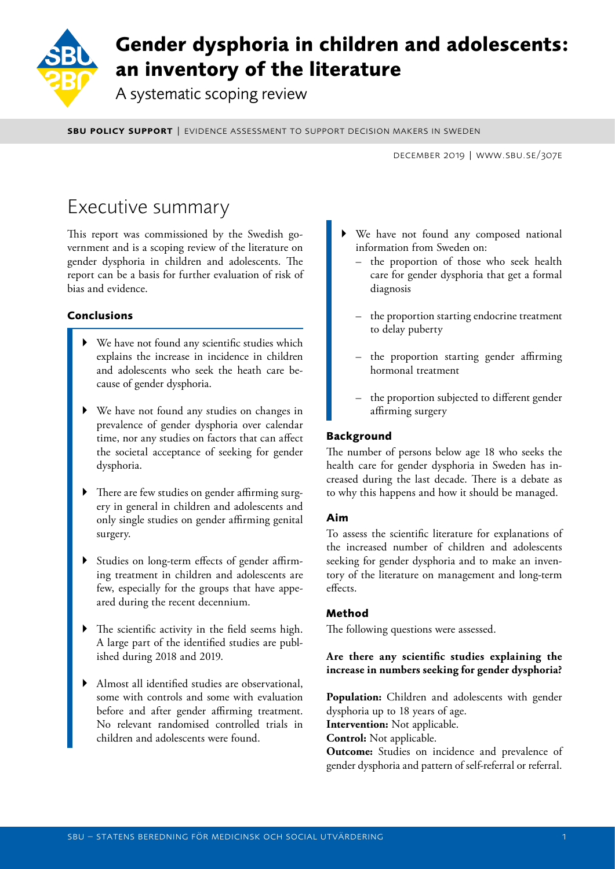

# **Gender dysphoria in children and adolescents: an inventory of the literature**

A systematic scoping review

sbu policy support | evidence assessment to support decision makers in sweden

december 2019 | www.sbu.se/307e

# Executive summary

This report was commissioned by the Swedish government and is a scoping review of the literature on gender dysphoria in children and adolescents. The report can be a basis for further evaluation of risk of bias and evidence.

## **Conclusions**

- We have not found any scientific studies which explains the increase in incidence in children and adolescents who seek the heath care because of gender dysphoria.
- ` We have not found any studies on changes in prevalence of gender dysphoria over calendar time, nor any studies on factors that can affect the societal acceptance of seeking for gender dysphoria.
- ` There are few studies on gender affirming surgery in general in children and adolescents and only single studies on gender affirming genital surgery.
- ` Studies on long-term effects of gender affirming treatment in children and adolescents are few, especially for the groups that have appeared during the recent decennium.
- $\blacktriangleright$  The scientific activity in the field seems high. A large part of the identified studies are published during 2018 and 2019.
- ` Almost all identified studies are observational, some with controls and some with evaluation before and after gender affirming treatment. No relevant randomised controlled trials in children and adolescents were found.
- We have not found any composed national information from Sweden on:
	- the proportion of those who seek health care for gender dysphoria that get a formal diagnosis
	- the proportion starting endocrine treatment to delay puberty
	- the proportion starting gender affirming hormonal treatment
	- the proportion subjected to different gender affirming surgery

## **Background**

The number of persons below age 18 who seeks the health care for gender dysphoria in Sweden has increased during the last decade. There is a debate as to why this happens and how it should be managed.

### **Aim**

To assess the scientific literature for explanations of the increased number of children and adolescents seeking for gender dysphoria and to make an inventory of the literature on management and long-term effects.

## **Method**

The following questions were assessed.

### **Are there any scientific studies explaining the increase in numbers seeking for gender dysphoria?**

**Population:** Children and adolescents with gender dysphoria up to 18 years of age. **Intervention:** Not applicable. **Control:** Not applicable. **Outcome:** Studies on incidence and prevalence of gender dysphoria and pattern of self-referral or referral.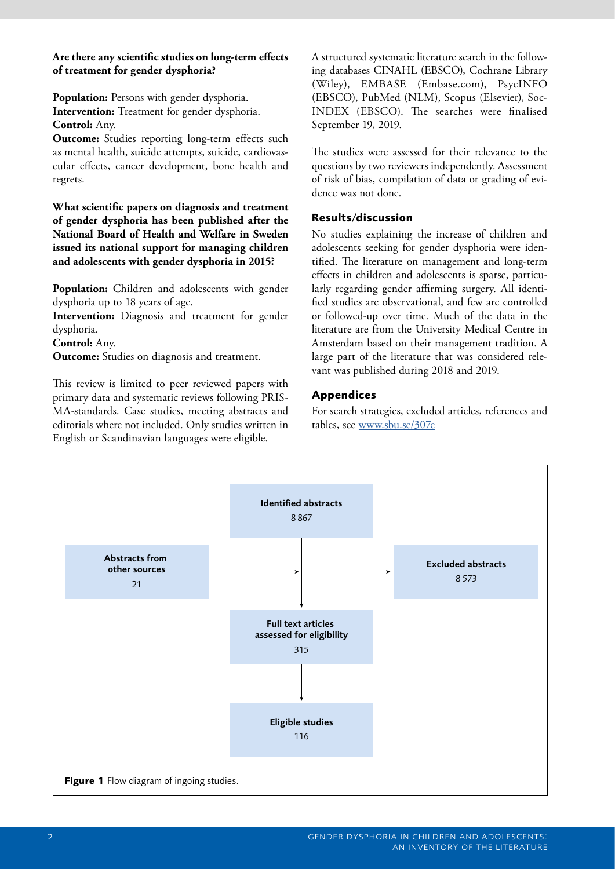#### **Are there any scientific studies on long-term effects of treatment for gender dysphoria?**

**Population:** Persons with gender dysphoria. **Intervention:** Treatment for gender dysphoria. **Control:** Any.

**Outcome:** Studies reporting long-term effects such as mental health, suicide attempts, suicide, cardiovascular effects, cancer development, bone health and regrets.

**What scientific papers on diagnosis and treatment of gender dysphoria has been published after the National Board of Health and Welfare in Sweden issued its national support for managing children and adolescents with gender dysphoria in 2015?** 

Population: Children and adolescents with gender dysphoria up to 18 years of age.

**Intervention:** Diagnosis and treatment for gender dysphoria.

**Control:** Any.

**Outcome:** Studies on diagnosis and treatment.

This review is limited to peer reviewed papers with primary data and systematic reviews following PRIS-MA-standards. Case studies, meeting abstracts and editorials where not included. Only studies written in English or Scandinavian languages were eligible.

A structured systematic literature search in the following databases CINAHL (EBSCO), Cochrane Library (Wiley), EMBASE (Embase.com), PsycINFO (EBSCO), PubMed (NLM), Scopus (Elsevier), Soc-INDEX (EBSCO). The searches were finalised September 19, 2019.

The studies were assessed for their relevance to the questions by two reviewers independently. Assessment of risk of bias, compilation of data or grading of evidence was not done.

### **Results/discussion**

No studies explaining the increase of children and adolescents seeking for gender dysphoria were identified. The literature on management and long-term effects in children and adolescents is sparse, particularly regarding gender affirming surgery. All identified studies are observational, and few are controlled or followed-up over time. Much of the data in the literature are from the University Medical Centre in Amsterdam based on their management tradition. A large part of the literature that was considered relevant was published during 2018 and 2019.

#### **Appendices**

For search strategies, excluded articles, references and tables, see [www.sbu.se/307e](http://www.sbu.se/307e )